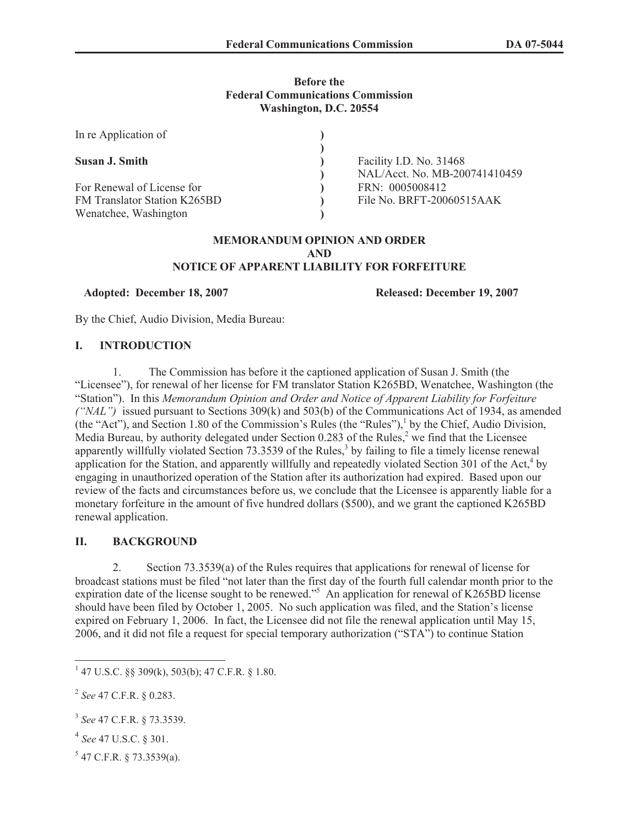## **Before the Federal Communications Commission Washington, D.C. 20554**

| In re Application of                |                               |
|-------------------------------------|-------------------------------|
|                                     |                               |
| Susan J. Smith                      | Facility I.D. No. 31468       |
|                                     | NAL/Acct. No. MB-200741410459 |
| For Renewal of License for          | FRN: 0005008412               |
| <b>FM Translator Station K265BD</b> | File No. BRFT-20060515AAK     |
| Wenatchee, Washington               |                               |

#### **MEMORANDUM OPINION AND ORDER AND NOTICE OF APPARENT LIABILITY FOR FORFEITURE**

**Adopted: December 18, 2007 Released: December 19, 2007**

By the Chief, Audio Division, Media Bureau:

## **I. INTRODUCTION**

1. The Commission has before it the captioned application of Susan J. Smith (the "Licensee"), for renewal of her license for FM translator Station K265BD, Wenatchee, Washington (the "Station"). In this *Memorandum Opinion and Order and Notice of Apparent Liability for Forfeiture ("NAL")* issued pursuant to Sections 309(k) and 503(b) of the Communications Act of 1934, as amended (the "Act"), and Section 1.80 of the Commission's Rules (the "Rules"),<sup>1</sup> by the Chief, Audio Division, Media Bureau, by authority delegated under Section  $0.283$  of the Rules,<sup>2</sup> we find that the Licensee apparently willfully violated Section 73.3539 of the Rules,<sup>3</sup> by failing to file a timely license renewal application for the Station, and apparently willfully and repeatedly violated Section  $301$  of the Act,<sup>4</sup> by engaging in unauthorized operation of the Station after its authorization had expired. Based upon our review of the facts and circumstances before us, we conclude that the Licensee is apparently liable for a monetary forfeiture in the amount of five hundred dollars (\$500), and we grant the captioned K265BD renewal application.

## **II. BACKGROUND**

2. Section 73.3539(a) of the Rules requires that applications for renewal of license for broadcast stations must be filed "not later than the first day of the fourth full calendar month prior to the expiration date of the license sought to be renewed."<sup>5</sup> An application for renewal of K265BD license should have been filed by October 1, 2005. No such application was filed, and the Station's license expired on February 1, 2006. In fact, the Licensee did not file the renewal application until May 15, 2006, and it did not file a request for special temporary authorization ("STA") to continue Station

- 4 *See* 47 U.S.C. § 301.
- $5$  47 C.F.R. § 73.3539(a).

<sup>1</sup> 47 U.S.C. §§ 309(k), 503(b); 47 C.F.R. § 1.80.

<sup>2</sup> *See* 47 C.F.R. § 0.283.

<sup>3</sup> *See* 47 C.F.R. § 73.3539.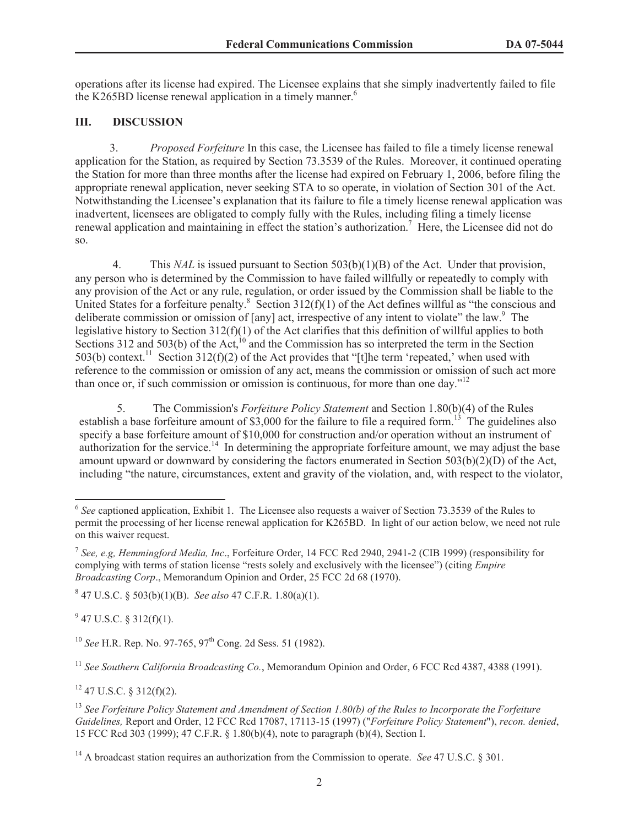operations after its license had expired. The Licensee explains that she simply inadvertently failed to file the K265BD license renewal application in a timely manner.<sup>6</sup>

## **III. DISCUSSION**

3. *Proposed Forfeiture* In this case, the Licensee has failed to file a timely license renewal application for the Station, as required by Section 73.3539 of the Rules. Moreover, it continued operating the Station for more than three months after the license had expired on February 1, 2006, before filing the appropriate renewal application, never seeking STA to so operate, in violation of Section 301 of the Act. Notwithstanding the Licensee's explanation that its failure to file a timely license renewal application was inadvertent, licensees are obligated to comply fully with the Rules, including filing a timely license renewal application and maintaining in effect the station's authorization. <sup>7</sup> Here, the Licensee did not do so.

4. This *NAL* is issued pursuant to Section 503(b)(1)(B) of the Act. Under that provision, any person who is determined by the Commission to have failed willfully or repeatedly to comply with any provision of the Act or any rule, regulation, or order issued by the Commission shall be liable to the United States for a forfeiture penalty.<sup>8</sup> Section 312(f)(1) of the Act defines willful as "the conscious and deliberate commission or omission of [any] act, irrespective of any intent to violate" the law.<sup>9</sup> The legislative history to Section 312(f)(1) of the Act clarifies that this definition of willful applies to both Sections 312 and 503(b) of the  $\text{Act}^{(10)}$  and the Commission has so interpreted the term in the Section 503(b) context.<sup>11</sup> Section 312(f)(2) of the Act provides that "[t]he term 'repeated,' when used with reference to the commission or omission of any act, means the commission or omission of such act more than once or, if such commission or omission is continuous, for more than one day."<sup>12</sup>

5. The Commission's *Forfeiture Policy Statement* and Section 1.80(b)(4) of the Rules establish a base forfeiture amount of \$3,000 for the failure to file a required form.<sup>13</sup> The guidelines also specify a base forfeiture amount of \$10,000 for construction and/or operation without an instrument of authorization for the service.<sup>14</sup> In determining the appropriate forfeiture amount, we may adjust the base amount upward or downward by considering the factors enumerated in Section 503(b)(2)(D) of the Act, including "the nature, circumstances, extent and gravity of the violation, and, with respect to the violator,

8 47 U.S.C. § 503(b)(1)(B). *See also* 47 C.F.R. 1.80(a)(1).

 $9$  47 U.S.C. § 312(f)(1).

<sup>10</sup> *See* H.R. Rep. No. 97-765, 97<sup>th</sup> Cong. 2d Sess. 51 (1982).

<sup>11</sup> *See Southern California Broadcasting Co.*, Memorandum Opinion and Order, 6 FCC Rcd 4387, 4388 (1991).

 $12$  47 U.S.C. § 312(f)(2).

<sup>13</sup> *See Forfeiture Policy Statement and Amendment of Section 1.80(b) of the Rules to Incorporate the Forfeiture Guidelines,* Report and Order, 12 FCC Rcd 17087, 17113-15 (1997) ("*Forfeiture Policy Statement*"), *recon. denied*, 15 FCC Rcd 303 (1999); 47 C.F.R. § 1.80(b)(4), note to paragraph (b)(4), Section I.

<sup>14</sup> A broadcast station requires an authorization from the Commission to operate. *See* 47 U.S.C. § 301.

<sup>&</sup>lt;sup>6</sup> See captioned application, Exhibit 1. The Licensee also requests a waiver of Section 73.3539 of the Rules to permit the processing of her license renewal application for K265BD. In light of our action below, we need not rule on this waiver request.

<sup>7</sup> *See, e.g, Hemmingford Media, Inc*., Forfeiture Order, 14 FCC Rcd 2940, 2941-2 (CIB 1999) (responsibility for complying with terms of station license "rests solely and exclusively with the licensee") (citing *Empire Broadcasting Corp*., Memorandum Opinion and Order, 25 FCC 2d 68 (1970).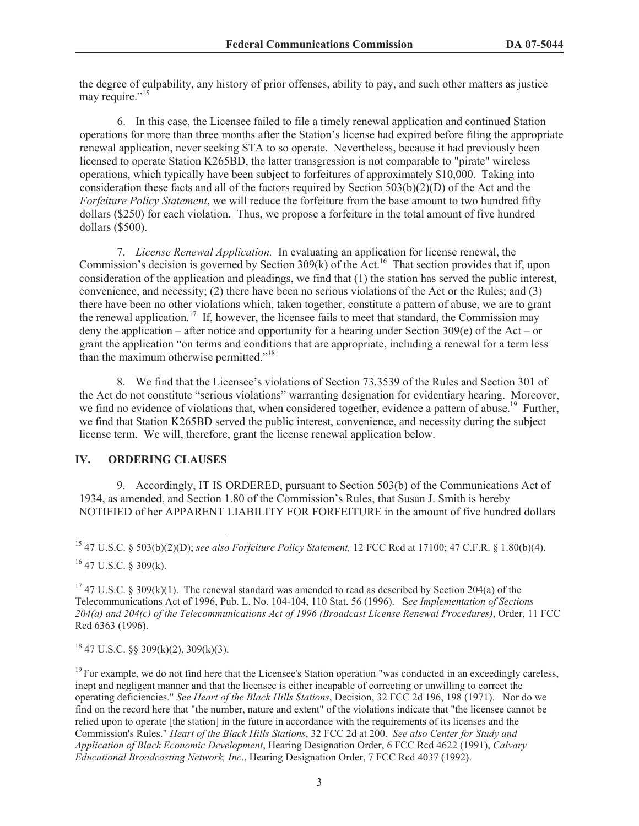the degree of culpability, any history of prior offenses, ability to pay, and such other matters as justice may require."<sup>15</sup>

6. In this case, the Licensee failed to file a timely renewal application and continued Station operations for more than three months after the Station's license had expired before filing the appropriate renewal application, never seeking STA to so operate. Nevertheless, because it had previously been licensed to operate Station K265BD, the latter transgression is not comparable to "pirate" wireless operations, which typically have been subject to forfeitures of approximately \$10,000. Taking into consideration these facts and all of the factors required by Section 503(b)(2)(D) of the Act and the *Forfeiture Policy Statement*, we will reduce the forfeiture from the base amount to two hundred fifty dollars (\$250) for each violation. Thus, we propose a forfeiture in the total amount of five hundred dollars (\$500).

7. *License Renewal Application.* In evaluating an application for license renewal, the Commission's decision is governed by Section 309(k) of the Act.<sup>16</sup> That section provides that if, upon consideration of the application and pleadings, we find that (1) the station has served the public interest, convenience, and necessity; (2) there have been no serious violations of the Act or the Rules; and (3) there have been no other violations which, taken together, constitute a pattern of abuse, we are to grant the renewal application.<sup>17</sup> If, however, the licensee fails to meet that standard, the Commission may deny the application – after notice and opportunity for a hearing under Section 309(e) of the Act – or grant the application "on terms and conditions that are appropriate, including a renewal for a term less than the maximum otherwise permitted."<sup>18</sup>

8. We find that the Licensee's violations of Section 73.3539 of the Rules and Section 301 of the Act do not constitute "serious violations" warranting designation for evidentiary hearing. Moreover, we find no evidence of violations that, when considered together, evidence a pattern of abuse.<sup>19</sup> Further, we find that Station K265BD served the public interest, convenience, and necessity during the subject license term. We will, therefore, grant the license renewal application below.

# **IV. ORDERING CLAUSES**

9. Accordingly, IT IS ORDERED, pursuant to Section 503(b) of the Communications Act of 1934, as amended, and Section 1.80 of the Commission's Rules, that Susan J. Smith is hereby NOTIFIED of her APPARENT LIABILITY FOR FORFEITURE in the amount of five hundred dollars

<sup>15</sup> 47 U.S.C. § 503(b)(2)(D); *see also Forfeiture Policy Statement,* 12 FCC Rcd at 17100; 47 C.F.R. § 1.80(b)(4).

 $16$  47 U.S.C. § 309(k).

<sup>17</sup> 47 U.S.C. § 309(k)(1). The renewal standard was amended to read as described by Section 204(a) of the Telecommunications Act of 1996, Pub. L. No. 104-104, 110 Stat. 56 (1996). S*ee Implementation of Sections 204(a) and 204(c) of the Telecommunications Act of 1996 (Broadcast License Renewal Procedures)*, Order, 11 FCC Rcd 6363 (1996).

 $18$  47 U.S.C. §§ 309(k)(2), 309(k)(3).

 $<sup>19</sup>$  For example, we do not find here that the Licensee's Station operation "was conducted in an exceedingly careless,</sup> inept and negligent manner and that the licensee is either incapable of correcting or unwilling to correct the operating deficiencies." *See Heart of the Black Hills Stations*, Decision, 32 FCC 2d 196, 198 (1971). Nor do we find on the record here that "the number, nature and extent" of the violations indicate that "the licensee cannot be relied upon to operate [the station] in the future in accordance with the requirements of its licenses and the Commission's Rules." *Heart of the Black Hills Stations*, 32 FCC 2d at 200. *See also Center for Study and Application of Black Economic Development*, Hearing Designation Order, 6 FCC Rcd 4622 (1991), *Calvary Educational Broadcasting Network, Inc*., Hearing Designation Order, 7 FCC Rcd 4037 (1992).